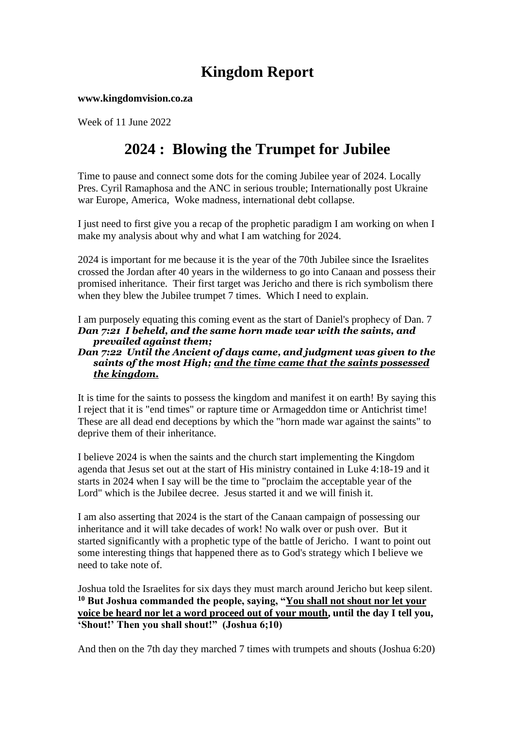# **Kingdom Report**

**www.kingdomvision.co.za**

Week of 11 June 2022

# **2024 : Blowing the Trumpet for Jubilee**

Time to pause and connect some dots for the coming Jubilee year of 2024. Locally Pres. Cyril Ramaphosa and the ANC in serious trouble; Internationally post Ukraine war Europe, America, Woke madness, international debt collapse.

I just need to first give you a recap of the prophetic paradigm I am working on when I make my analysis about why and what I am watching for 2024.

2024 is important for me because it is the year of the 70th Jubilee since the Israelites crossed the Jordan after 40 years in the wilderness to go into Canaan and possess their promised inheritance. Their first target was Jericho and there is rich symbolism there when they blew the Jubilee trumpet 7 times. Which I need to explain.

I am purposely equating this coming event as the start of Daniel's prophecy of Dan. 7 *Dan 7:21 I beheld, and the same horn made war with the saints, and prevailed against them;* 

#### *Dan 7:22 Until the Ancient of days came, and judgment was given to the saints of the most High; and the time came that the saints possessed the kingdom.*

It is time for the saints to possess the kingdom and manifest it on earth! By saying this I reject that it is "end times" or rapture time or Armageddon time or Antichrist time! These are all dead end deceptions by which the "horn made war against the saints" to deprive them of their inheritance.

I believe 2024 is when the saints and the church start implementing the Kingdom agenda that Jesus set out at the start of His ministry contained in Luke 4:18-19 and it starts in 2024 when I say will be the time to "proclaim the acceptable year of the Lord" which is the Jubilee decree. Jesus started it and we will finish it.

I am also asserting that 2024 is the start of the Canaan campaign of possessing our inheritance and it will take decades of work! No walk over or push over. But it started significantly with a prophetic type of the battle of Jericho. I want to point out some interesting things that happened there as to God's strategy which I believe we need to take note of.

Joshua told the Israelites for six days they must march around Jericho but keep silent. **<sup>10</sup> But Joshua commanded the people, saying, "You shall not shout nor let your voice be heard nor let a word proceed out of your mouth, until the day I tell you, 'Shout!' Then you shall shout!" (Joshua 6;10)**

And then on the 7th day they marched 7 times with trumpets and shouts (Joshua 6:20)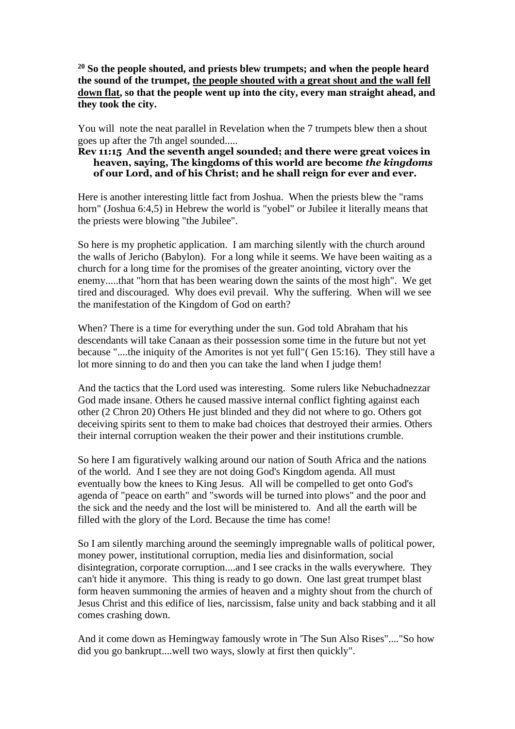**<sup>20</sup> So the people shouted, and priests blew trumpets; and when the people heard the sound of the trumpet, the people shouted with a great shout and the wall fell down flat, so that the people went up into the city, every man straight ahead, and they took the city.**

You will note the neat parallel in Revelation when the 7 trumpets blew then a shout goes up after the 7th angel sounded.....

#### **Rev 11:15 And the seventh angel sounded; and there were great voices in heaven, saying, The kingdoms of this world are become** *the kingdoms* **of our Lord, and of his Christ; and he shall reign for ever and ever.**

Here is another interesting little fact from Joshua. When the priests blew the "rams horn" (Joshua 6:4,5) in Hebrew the world is "yobel" or Jubilee it literally means that the priests were blowing "the Jubilee".

So here is my prophetic application. I am marching silently with the church around the walls of Jericho (Babylon). For a long while it seems. We have been waiting as a church for a long time for the promises of the greater anointing, victory over the enemy.....that "horn that has been wearing down the saints of the most high". We get tired and discouraged. Why does evil prevail. Why the suffering. When will we see the manifestation of the Kingdom of God on earth?

When? There is a time for everything under the sun. God told Abraham that his descendants will take Canaan as their possession some time in the future but not yet because "....the iniquity of the Amorites is not yet full"( Gen 15:16). They still have a lot more sinning to do and then you can take the land when I judge them!

And the tactics that the Lord used was interesting. Some rulers like Nebuchadnezzar God made insane. Others he caused massive internal conflict fighting against each other (2 Chron 20) Others He just blinded and they did not where to go. Others got deceiving spirits sent to them to make bad choices that destroyed their armies. Others their internal corruption weaken the their power and their institutions crumble.

So here I am figuratively walking around our nation of South Africa and the nations of the world. And I see they are not doing God's Kingdom agenda. All must eventually bow the knees to King Jesus. All will be compelled to get onto God's agenda of "peace on earth" and "swords will be turned into plows" and the poor and the sick and the needy and the lost will be ministered to. And all the earth will be filled with the glory of the Lord. Because the time has come!

So I am silently marching around the seemingly impregnable walls of political power, money power, institutional corruption, media lies and disinformation, social disintegration, corporate corruption....and I see cracks in the walls everywhere. They can't hide it anymore. This thing is ready to go down. One last great trumpet blast form heaven summoning the armies of heaven and a mighty shout from the church of Jesus Christ and this edifice of lies, narcissism, false unity and back stabbing and it all comes crashing down.

And it come down as Hemingway famously wrote in 'The Sun Also Rises"...."So how did you go bankrupt....well two ways, slowly at first then quickly".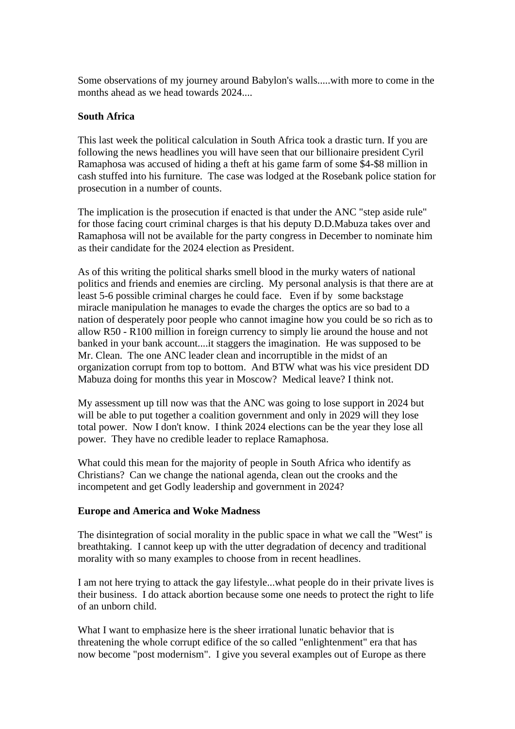Some observations of my journey around Babylon's walls.....with more to come in the months ahead as we head towards 2024....

### **South Africa**

This last week the political calculation in South Africa took a drastic turn. If you are following the news headlines you will have seen that our billionaire president Cyril Ramaphosa was accused of hiding a theft at his game farm of some \$4-\$8 million in cash stuffed into his furniture. The case was lodged at the Rosebank police station for prosecution in a number of counts.

The implication is the prosecution if enacted is that under the ANC "step aside rule" for those facing court criminal charges is that his deputy D.D.Mabuza takes over and Ramaphosa will not be available for the party congress in December to nominate him as their candidate for the 2024 election as President.

As of this writing the political sharks smell blood in the murky waters of national politics and friends and enemies are circling. My personal analysis is that there are at least 5-6 possible criminal charges he could face. Even if by some backstage miracle manipulation he manages to evade the charges the optics are so bad to a nation of desperately poor people who cannot imagine how you could be so rich as to allow R50 - R100 million in foreign currency to simply lie around the house and not banked in your bank account....it staggers the imagination. He was supposed to be Mr. Clean. The one ANC leader clean and incorruptible in the midst of an organization corrupt from top to bottom. And BTW what was his vice president DD Mabuza doing for months this year in Moscow? Medical leave? I think not.

My assessment up till now was that the ANC was going to lose support in 2024 but will be able to put together a coalition government and only in 2029 will they lose total power. Now I don't know. I think 2024 elections can be the year they lose all power. They have no credible leader to replace Ramaphosa.

What could this mean for the majority of people in South Africa who identify as Christians? Can we change the national agenda, clean out the crooks and the incompetent and get Godly leadership and government in 2024?

#### **Europe and America and Woke Madness**

The disintegration of social morality in the public space in what we call the "West" is breathtaking. I cannot keep up with the utter degradation of decency and traditional morality with so many examples to choose from in recent headlines.

I am not here trying to attack the gay lifestyle...what people do in their private lives is their business. I do attack abortion because some one needs to protect the right to life of an unborn child.

What I want to emphasize here is the sheer irrational lunatic behavior that is threatening the whole corrupt edifice of the so called "enlightenment" era that has now become "post modernism". I give you several examples out of Europe as there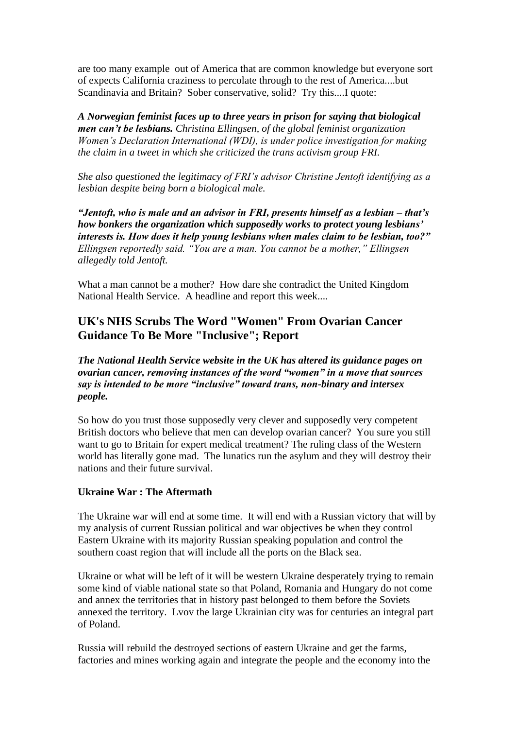are too many example out of America that are common knowledge but everyone sort of expects California craziness to percolate through to the rest of America....but Scandinavia and Britain? Sober conservative, solid? Try this....I quote:

*A Norwegian feminist faces up to three years in prison for saying that biological men can't be lesbians. Christina Ellingsen, of the global feminist organization Women's Declaration International (WDI), is under police investigation for making the claim in a tweet in which she criticized the trans activism group FRI.* 

*She also questioned the legitimacy of FRI's advisor Christine Jentoft identifying as a lesbian despite being born a biological male.*

*"Jentoft, who is male and an advisor in FRI, presents himself as a lesbian – that's how bonkers the organization which supposedly works to protect young lesbians' interests is. How does it help young lesbians when males claim to be lesbian, too?" Ellingsen reportedly said. "You are a man. You cannot be a mother," Ellingsen allegedly told Jentoft.*

What a man cannot be a mother? How dare she contradict the United Kingdom National Health Service. A headline and report this week....

## **UK's NHS Scrubs The Word "Women" From Ovarian Cancer Guidance To Be More "Inclusive"; Report**

*The National Health Service website in the UK has altered its guidance pages on ovarian cancer, removing instances of the word "women" in a move that sources say is intended to be more "inclusive" toward trans, non-binary and intersex people.*

So how do you trust those supposedly very clever and supposedly very competent British doctors who believe that men can develop ovarian cancer? You sure you still want to go to Britain for expert medical treatment? The ruling class of the Western world has literally gone mad. The lunatics run the asylum and they will destroy their nations and their future survival.

### **Ukraine War : The Aftermath**

The Ukraine war will end at some time. It will end with a Russian victory that will by my analysis of current Russian political and war objectives be when they control Eastern Ukraine with its majority Russian speaking population and control the southern coast region that will include all the ports on the Black sea.

Ukraine or what will be left of it will be western Ukraine desperately trying to remain some kind of viable national state so that Poland, Romania and Hungary do not come and annex the territories that in history past belonged to them before the Soviets annexed the territory. Lvov the large Ukrainian city was for centuries an integral part of Poland.

Russia will rebuild the destroyed sections of eastern Ukraine and get the farms, factories and mines working again and integrate the people and the economy into the